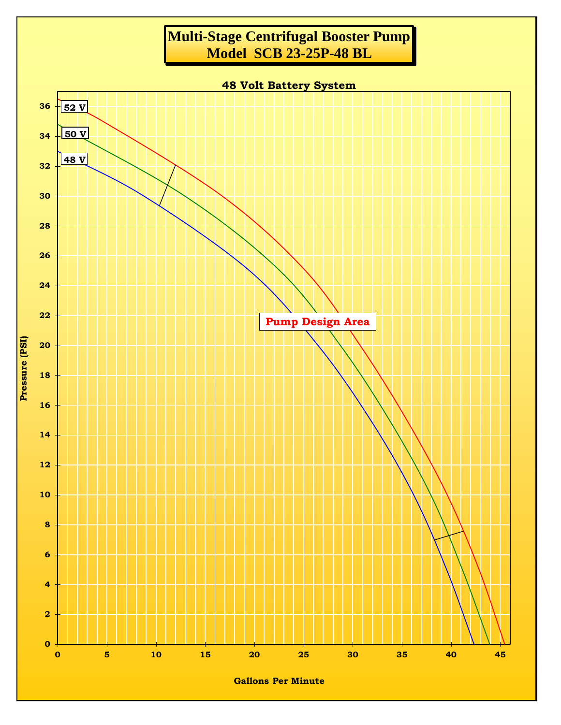